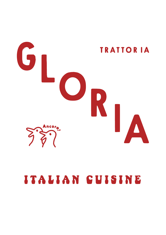

# ITALIAN CUISINE